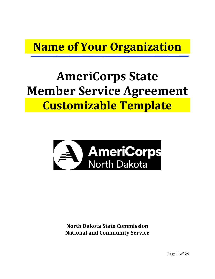# **Name of Your Organization**

# **AmeriCorps State Member Service Agreement Customizable Template**



**North Dakota State Commission National and Community Service** 

Page **1** of **29**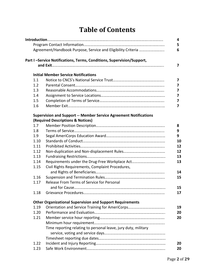# **Table of Contents**

|      | Agreement/Handbook Purpose, Service and Eligibility Criteria             |
|------|--------------------------------------------------------------------------|
|      | Part I-Service Notifications, Terms, Conditions, Supervision/Support,    |
|      |                                                                          |
|      | <b>Initial Member Service Notifications</b>                              |
| 1.1  |                                                                          |
| 1.2  |                                                                          |
| 1.3  |                                                                          |
| 1.4  |                                                                          |
| 1.5  |                                                                          |
| 1.6  |                                                                          |
|      |                                                                          |
|      | <b>Supervision and Support -- Member Service Agreement Notifications</b> |
|      | (Required Descriptions & Notices)                                        |
| 1.7  |                                                                          |
| 1.8  |                                                                          |
| 1.9  |                                                                          |
| 1.10 |                                                                          |
| 1.11 |                                                                          |
| 1.12 |                                                                          |
| 1.13 |                                                                          |
| 1.14 | Requirements under the Drug-Free Workplace Act                           |
| 1.15 | Civil Rights Requirements, Complaint Procedures,                         |
|      |                                                                          |
| 1.16 |                                                                          |
| 1.17 | Release From Terms of Service for Personal                               |
|      |                                                                          |
| 1.18 |                                                                          |
|      | <b>Other Organizational Supervision and Support Requirements</b>         |
| 1.19 |                                                                          |
| 1.20 |                                                                          |
| 1.21 |                                                                          |
|      |                                                                          |
|      | Time reporting relating to personal leave, jury duty, military           |
|      |                                                                          |
|      |                                                                          |
| 1.22 |                                                                          |
| 1.23 |                                                                          |
|      |                                                                          |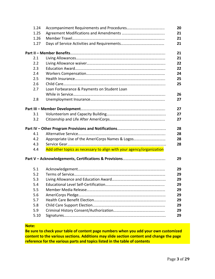|     | 1.24                                                                 | 20 |
|-----|----------------------------------------------------------------------|----|
|     | 1.25                                                                 | 21 |
|     | 1.26                                                                 | 21 |
|     | 1.27                                                                 | 21 |
|     |                                                                      | 21 |
| 2.1 |                                                                      | 21 |
| 2.2 |                                                                      | 22 |
| 2.3 |                                                                      | 22 |
| 2.4 |                                                                      | 24 |
| 2.5 |                                                                      | 25 |
| 2.6 |                                                                      | 25 |
| 2.7 | Loan Forbearance & Payments on Student Loan                          |    |
|     |                                                                      | 26 |
| 2.8 |                                                                      | 27 |
|     |                                                                      | 27 |
| 3.1 |                                                                      | 27 |
| 3.2 |                                                                      | 27 |
|     |                                                                      | 28 |
| 4.1 |                                                                      | 28 |
| 4.2 | Appropriate Use of the AmeriCorps Names & Logos                      | 28 |
| 4.3 |                                                                      | 28 |
| 4.4 | Add other topics as necessary to align with your agency/organization |    |
|     |                                                                      | 29 |
| 5.1 |                                                                      | 29 |
| 5.2 |                                                                      | 29 |
| 5.3 |                                                                      | 29 |
| 5.4 |                                                                      | 29 |
| 5.5 |                                                                      | 29 |
| 5.6 |                                                                      | 29 |
| 5.7 |                                                                      | 29 |
| 5.8 |                                                                      | 29 |
| 5.9 |                                                                      | 29 |
|     | 5.10                                                                 | 29 |

# **Note:**

**Be sure to check your table of content page numbers when you add your own customized content to the various sections. Additions may slide section content and change the page reference for the various parts and topics listed in the table of contents**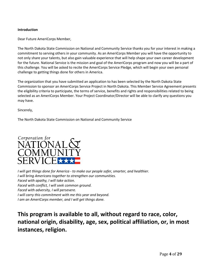# **Introduction**

Dear Future AmeriCorps Member,

The North Dakota State Commission on National and Community Service thanks you for your interest in making a commitment to serving others in your community. As an AmeriCorps Member you will have the opportunity to not only share your talents, but also gain valuable experience that will help shape your own career development for the future. National Service is the mission and goal of the AmeriCorps program and now you will be a part of this challenge. You will be asked to recite the AmeriCorps Service Pledge, which will begin your own personal challenge to getting things done for others in America.

The organization that you have submitted an application to has been selected by the North Dakota State Commission to sponsor an AmeriCorps Service Project in North Dakota. This Member Service Agreement presents the eligibility criteria to participate, the terms of service, benefits and rights and responsibilities related to being selected as an AmeriCorps Member. Your Project Coordinator/Director will be able to clarify any questions you may have.

Sincerely,

The North Dakota State Commission on National and Community Service



*I will get things done for America - to make our people safer, smarter, and healthier. I will bring Americans together to strengthen our communities. Faced with apathy, I will take action. Faced with conflict, I will seek common ground. Faced with adversity, I will persevere. I will carry this commitment with me this year and beyond. I am an AmeriCorps member, and I will get things done.*

**This program is available to all, without regard to race, color, national origin, disability, age, sex, political affiliation, or, in most instances, religion.**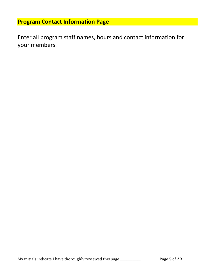# **Program Contact Information Page**

Enter all program staff names, hours and contact information for your members.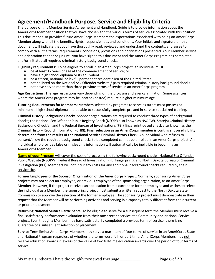# **Agreement/Handbook Purpose, Service and Eligibility Criteria**

The purpose of this Member Service Agreement and Handbook Guide is to provide information about the AmeriCorps Member position that you have chosen and the various terms of service associated with this position. This document also provides future AmeriCorps Members the expectations associated with being an AmeriCorps Member along with all the benefits, rights, responsibilities and conditions. Your initials and signature on this document will indicate that you have thoroughly read, reviewed and understand the contents, and agree to comply with all the terms, requirements, conditions, provisions and notifications presented. Your Member service and orientation cannot begin until you have signed this document and the AmeriCorps Program has completed and/or initiated all required criminal history background checks.

**Eligibility requirements:** To be eligible to enroll in an AmeriCorps project, an individual must:

- be at least 17 years of age at the commencement of service; or<br>• have a high school diploma or its equivalent
- 
- be a citizen, national, or lawful permanent resident alien of the United States
- not be listed on the National Sex Offender website / pass required criminal history background checks
- not have served more than three previous terms of service in an AmeriCorps program

**Age Restrictions:** The age restrictions vary depending on the program and agency affiliation. Some agencies where the AmeriCorps program may be located (hosted) require a higher minimum age.

**Tutoring Requirements for Members:** Members selected by programs to serve as tutors must possess at minimum a high school diploma and be able to successfully complete pre and in-service specialized training.

**Criminal History Background Checks:**Sponsor organizations are required to conduct three types of background checks; the National Sex Offender Public Registry Check (NSOPR also known as NSOPW), State(s) Criminal History Background Check(s), and the Federal Bureau of Investigations (FBI) fingerprint-based check also known as the Criminal History Record Information (CHRI). **Final selection as an AmeriCorps member is contingent on eligibility determined from the results of the National Service Criminal History Check.** An individual who refuses to consent/allow the required background checks to be completed cannot be enrolled in an AmeriCorps project. An individual who provides false or misleading information will automatically be ineligible in becoming an AmeriCorps Member

**Name of your Program** will cover the cost of processing the following background checks: National Sex Offender Public Website (NSOPW), Federal Bureau of Investigation (FBI Fingerprint), and North Dakota Bureau of Criminal Investigation (BCI). Members will not incur any costs for any additional background checks required by their service site.

**Former Employees of the Sponsor Organization of the AmeriCorps Project:** Normally, sponsoring AmeriCorps projects may not select an employee, or previous employee of the sponsoring organization, as an AmeriCorps Member. However, if the project receives an application from a current or former employee and wishes to select the individual as a Member, the sponsoring project must submit a written request to the North Dakota State Commission to approve the selection of the former employee. The sponsoring project must demonstrate in their request that the Member will be performing activities and serving in a capacity totally different from their current or prior employment.

**Returning National Service Participants:** To be eligible to serve for a subsequent term the Member must receive a final satisfactory performance evaluation from their most recent service at a Community and National Service project. Even though a Member may have satisfactorily completed a previous term of service, there is no guarantee of a subsequent selection or placement.

**Service Term limits:** AmeriCorps Members may serve a maximum of four terms of service in an AmeriCorps State and National Program regardless of whether the terms were full- or part-time. AmeriCorps Members may not receive education awards in excess of the value of two full-time education awards over the period of four terms of service.

My initials indicate I have thoroughly reviewed this page \_\_\_\_\_\_\_\_\_\_\_\_\_ Page **6** of **29**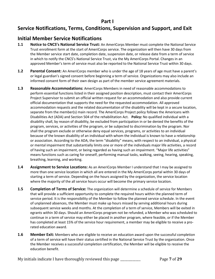# **Part I**

# **Service Notifications, Terms, Conditions, Supervision and Support, and Exit**

# **Initial Member Service Notifications**

- **1.1 Notice to CNCS's National Service Trust:** An AmeriCorps Member must complete the National Service Trust enrollment form at the start of AmeriCorps service. The organization will then have 30 days from the Member service start date, completion date, suspension date, or release date from a term of service in which to notify the CNCS's National Service Trust, via the My AmeriCorps Portal. Changes in an approved Member's term of service must also be reported to the National Service Trust within 30 days.
- **1.2 Parental Consent:** An AmeriCorps member who is under the age of 18 years of age must have a parent's or legal guardian's signed consent before beginning a term of service. Organizations may also include an informed consent form of their own design as part of the member service agreement materials.
- **1.3 Reasonable Accommodations:** AmeriCorps Members in need of reasonable accommodations to perform essential functions listed in their assigned position description, must contact their AmeriCorps Project Supervisor to submit an official written request for an accommodation and also provide current official documentation that supports the need for the requested accommodation. All approved accommodation requests and the related documentation of the disability will be kept in a secure location, separate from the member(s) main record. The AmeriCorps Project policy follows the Americans with Disabilities Act (ADA) and Section 504 of the rehabilitation Act. **Policy:** No qualified individual with a disability shall, by reason of disability, be excluded from participation in or be denied the benefits of the program, services, or activities of the program, or be subjected to discrimination by the program. Nor shall the program exclude or otherwise deny equal services, programs, or activities to an individual because of the known disability of an individual with whom the individual is known to have a relationship or association. According to the ADA, the term "disability" means, with respect to an individual, a physical or mental impairment that substantially limits one or more of the individuals major life activities, a record of having such an impairment, or being regarded as having such an impairment. "Major life activities" means functions such as caring for oneself, performing manual tasks, walking, seeing, hearing, speaking, breathing, learning, and working.
- **1.4 Assignment to Service Locations:** As an AmeriCorps Member I understand that I may be assigned to more than one service location in which all are entered in the My AmeriCorps portal within 30 days of starting a term of service. Depending on the hours assigned by the organization, the service location where the majority of the all service hours occur will become the primary service location.
- **1.5 Completion of Terms of Service:** The organization will determine a schedule of service for Members that will provide a sufficient opportunity to complete the required hours within the planned term of service period. It is the responsibility of the Member to follow the planned service schedule. In the event of unplanned absences, the Member must make up hours missed by serving additional hours during subsequent service weeks and months. At the completion of a term of service, Members will be exited in egrants within 30 days. Should an AmeriCorps program not be refunded, a Member who was scheduled to continue in a term of service may either be placed in another program, where feasible, or if the Member has completed at least 15% of the service hour requirement, a member may be eligible to receive a prorated education award.
- **1.6 Member Exit:** Members who are eligible to receive an education award upon the successful completion of a term of service will have their status certified in the National Service Trust by the organization. Once the Member receives a successful completion certification, the Member will be eligible to receive the education benefit.

My initials indicate I have thoroughly reviewed this page \_\_\_\_\_\_\_\_\_\_\_\_\_ Page **7** of **29**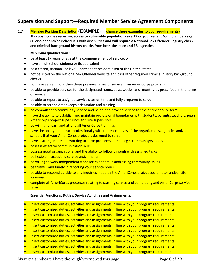# **Supervision and Support—Required Member Service Agreement Components**

**1.7 Member Position Description (EXAMPLE) change these examples to your requirements)** 

**This position has recurring access to vulnerable populations age 17 or younger and/or individuals age 60 or older and/or individuals with disabilities and will require a National Sex Offender Registry check and criminal background history checks from both the state and FBI agencies.** 

# **Minimum qualifications:**

- be at least 17 years of age at the commencement of service; or
- have a high school diploma or its equivalent
- be a citizen, national, or lawful permanent resident alien of the United States
- not be listed on the National Sex Offender website and pass other required criminal history background checks
- not have served more than three previous terms of service in an AmeriCorps program
- be able to provide services for the designated hours, days, weeks, and months as prescribed in the terms of service
- be able to report to assigned service sites on time and fully prepared to serve
- be able to attend AmeriCorps orientation and training
- be committed to community service and be able to provide service for the entire service term
- have the ability to establish and maintain professional boundaries with students, parents, teachers, peers, AmeriCorps project supervisors and site supervisors
- be willing to learn and attend all AmeriCorps trainings
- have the ability to interact professionally with representatives of the organizations, agencies and/or schools that your AmeriCorps project is designed to serve
- have a strong interest in working to solve problems in the target community/schools
- possess effective communication skills
- possess good organizational and the ability to follow through with assigned tasks
- be flexible in accepting service assignments
- be willing to work independently and/or as a team in addressing community issues
- be truthful and timely in reporting your service hours
- be able to respond quickly to any inquiries made by the AmeriCorps project coordinator and/or site supervisor
- complete all AmeriCorps processes relating to starting service and completing and AmeriCorps service term

# **Essential Functions: Duties, Service Activities and Assignments:**

- Insert customized duties, activities and assignments in line with your program requirements
- Insert customized duties, activities and assignments in line with your program requirements
- Insert customized duties, activities and assignments in line with your program requirements
- Insert customized duties, activities and assignments in line with your program requirements
- Insert customized duties, activities and assignments in line with your program requirements
- Insert customized duties, activities and assignments in line with your program requirements
- Insert customized duties, activities and assignments in line with your program requirements
- Insert customized duties, activities and assignments in line with your program requirements
- Insert customized duties, activities and assignments in line with your program requirements
- Insert customized duties, activities and assignments in line with your program requirements

My initials indicate I have thoroughly reviewed this page \_\_\_\_\_\_\_\_\_\_\_\_\_ Page **8** of **29**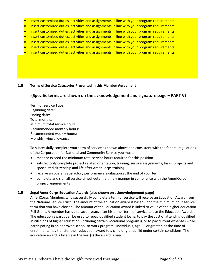- Insert customized duties, activities and assignments in line with your program requirements
- Insert customized duties, activities and assignments in line with your program requirements
- Insert customized duties, activities and assignments in line with your program requirements
- Insert customized duties, activities and assignments in line with your program requirements
- Insert customized duties, activities and assignments in line with your program requirements
- Insert customized duties, activities and assignments in line with your program requirements
- Insert customized duties, activities and assignments in line with your program requirements

# **1.8 Terms of Service Categories Presented in this Member Agreement**

# **(Specific terms are shown on the acknowledgement and signature page – PART V)**

Term of Service Type: Beginning date: Ending date: Total months: Minimum total service hours: Recommended monthly hours: Recommended weekly hours: Monthly living allowance

To successfully complete your term of service as shown above and consistent with the federal regulations of the Corporation for National and Community Service you must:

- meet or exceed the minimum total service hours required for this position
- satisfactorily complete project related orientation, training, service assignments, tasks, projects and specialized citizenship and life after AmeriCorps training
- receive an overall satisfactory performance evaluation at the end of your term
- complete and sign all service timesheets in a timely manner in compliance with the AmeriCorps project requirements

# **1.9 Segal AmeriCorps Education Award: (also shown on acknowledgement page)**

AmeriCorps Members who successfully complete a term of service will receive an Education Award from the National Service Trust. The amount of the education award is based upon the minimum hour service term that you have chosen. The amount of the Education Award is linked to value of the higher education Pell Grant. A member has up to seven years after his or her term of service to use the Education Award. The education awards can be used to repay qualified student loans, to pay the cost of attending qualified institutions of higher education (including certain vocational programs), or to pay current expenses while participating in an approved school-to-work program. Individuals, age 55 or greater, at the time of enrollment, may transfer their education award to a child or grandchild under certain conditions. The education award is taxable in the year(s) the award is used.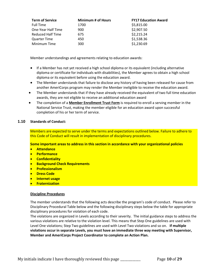| <b>Term of Service</b> | Minimum # of Hours | <b>FY17 Education Award</b> |
|------------------------|--------------------|-----------------------------|
| <b>Full Time</b>       | 1700               | \$5,815.00                  |
| One-Year Half Time     | 900                | \$2,907.50                  |
| Reduced Half Time      | 675                | \$2,215.24                  |
| <b>Quarter Time</b>    | 450                | \$1,538.36                  |
| Minimum Time           | 300                | \$1,230.69                  |

Member understandings and agreements relating to education awards:

- If a Member has not yet received a high school diploma or its equivalent (including alternative diploma or certificate for individuals with disabilities), the Member agrees to obtain a high school diploma or its equivalent before using the education award.
- The Member understands that failure to disclose any history of having been released for cause from another AmeriCorps program may render the Member ineligible to receive the education award.
- The Member understands that if they have already received the equivalent of two full time education awards, they are not eligible to receive an additional education award
- The completion of a **Member Enrollment Trust Form** is required to enroll a serving member in the National Service Trust, making the member eligible for an education award upon successful completion of his or her term of service.

# **1.10 Standards of Conduct:**

Members are expected to serve under the terms and expectations outlined below. Failure to adhere to this Code of Conduct will result in implementation of disciplinary procedures.

**Some important areas to address in this section in accordance with your organizational policies**

- **Attendance**
- **Performance**
- **Confidentiality**
- **Background Check Requirements**
- **Professionalism**
- **Dress Code**
- **Internet usage**
- **Fraternization**

# **Discipline Procedures**

The member understands that the following acts describe the program's code of conduct.Please refer to Disciplinary Procedural Table below and the following disciplinary steps below the table for appropriate disciplinary procedures for violation of each code.

The violations are organized in Levels according to their severity. The initial guidance steps to address the various violations are relative to the violation level. This means that Step One guidelines are used with Level One violations; Step Two guidelines are used with Level Two violations and so on. **If multiple violations occur in separate Levels, you must have an immediate three way meeting with Supervisor, Member and AmeriCorps Project Coordinator to complete an Action Plan.**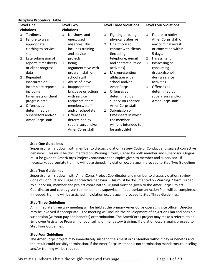#### **Discipline Procedural Table**

| <b>Level One</b>  |                      | <b>Level Two</b>  |                     | <b>Level Three Violations</b> |                       | <b>Level Four Violations</b> |                      |
|-------------------|----------------------|-------------------|---------------------|-------------------------------|-----------------------|------------------------------|----------------------|
| <b>Violations</b> |                      | <b>Violations</b> |                     |                               |                       |                              |                      |
| $\Box$            | <b>Tardiness</b>     | $\Box$            | No shows and        | $\Box$                        | Fighting or being     | $\Box$                       | Failure to notify    |
| $\Box$            | Failure to wear      |                   | unexcused           |                               | physically abusive    |                              | AmeriCorps staff of  |
|                   | appropriate          |                   | absences. This      | $\Box$                        | Unauthorized          |                              | any criminal arrest  |
|                   | clothing to service  |                   | includes training   |                               | contact with clients  |                              | or conviction within |
|                   | site                 |                   | and service         |                               | (including            |                              | 5 days.              |
| $\Box$            | Late submission of   |                   | projects.           |                               | telephone, e-mail     | $\Box$                       | Harassment           |
|                   | reports, timesheets  | $\Box$            | <b>Being</b>        |                               | and contact outside   | $\Box$                       | Possessing or        |
|                   | or client progress   |                   | argumentative with  |                               | activities)           |                              | consuming            |
|                   | data                 |                   | program staff or    | $\Box$                        | Misrepresenting       |                              | drugs/alcohol        |
| $\Box$            | Repeated             |                   | school staff        |                               | affiliation with      |                              | during service       |
|                   | inaccurate or        | $\Box$            | Abuse of leave      |                               | school and/or         |                              | activities           |
|                   | incomplete reports   | $\Box$            | Inappropriate       |                               | AmeriCorps.           | □                            | Offenses as          |
|                   | including            |                   | language or actions | $\Box$                        | Offenses as           |                              | determined by        |
|                   | timesheets or client |                   | with service        |                               | determined by         |                              | supervisors and/or   |
|                   | progress data        |                   | recipients, team    |                               | supervisors and/or    |                              | AmeriCorps staff     |
| $\Box$            | Offenses as          |                   | members, staff      |                               | AmeriCorps staff      |                              |                      |
|                   | determined by        |                   | and/or school staff | $\Box$                        | Submission of         |                              |                      |
|                   | Supervisors and/or   | $\Box$            | Offenses as         |                               | timesheets in which   |                              |                      |
|                   | AmeriCorps staff     |                   | determined by       |                               | the member            |                              |                      |
|                   |                      |                   | supervisors and/or  |                               | willfully intended to |                              |                      |
|                   |                      |                   | AmeriCorps staff    |                               | be untruthful         |                              |                      |
|                   |                      |                   |                     |                               |                       |                              |                      |

# **Step One Guidelines**

Supervisor will sit down with member to discuss violation, review Code of Conduct and suggest corrective behavior. This must be documented on Warning 1 form, signed by both member and supervisor. Original must be given to AmeriCorps Project Coordinator and copies given to member and supervisor. If necessary, appropriate training will be assigned. If violation occurs again, proceed to Step Two Guidelines.

#### **Step Two Guidelines**

Supervisor will sit down with AmeriCorps Project Coordinator and member to discuss violation, review Code of Conduct and suggest corrective behavior. This must be documented on Warning 2 form, signed by supervisor, member and project coordinator. Original must be given to the AmeriCorps Project Coordinator and copies given to member and supervisor. If appropriate an Action Plan will be completed. If needed, training will be assigned. If violation occurs again, proceed to Step Three Guidelines.

#### **Step Three Guidelines**

An immediate three way meeting will be held at the primary AmeriCorps operating site office, (Director may be involved if appropriate). The meeting will include the development of an Action Plan and possible suspension (without pay and benefits) or termination. The AmeriCorps project may make a referral to an Employee Assistance Program for counseling or mandatory training. If violation occurs again, proceed to Step Four Guidelines.

#### **Step Four Guidelines**

The AmeriCorps project may immediately suspend the AmeriCorps Member without pay or benefits and the result could possibly termination. If the AmeriCorps Member is not termination mandatory counseling and/or training will be required.

My initials indicate I have thoroughly reviewed this page \_\_\_\_\_\_\_\_\_\_\_\_\_ Page **11** of **29**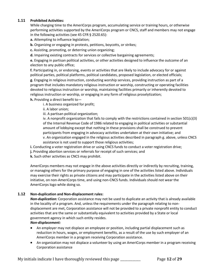# **1.11 Prohibited Activities:**

While charging time to the AmeriCorps program, accumulating service or training hours, or otherwise performing activities supported by the AmeriCorps program or CNCS, staff and members may not engage in the following activities (see 45 CFR § 2520.65):

**a.** Attempting to influence legislation;

**b.** Organizing or engaging in protests, petitions, boycotts, or strikes;

**c.** Assisting, promoting, or deterring union organizing;

**d.** Impairing existing contracts for services or collective bargaining agreements;

**e.** Engaging in partisan political activities, or other activities designed to influence the outcome of an election to any public office;

**f.** Participating in, or endorsing, events or activities that are likely to include advocacy for or against political parties, political platforms, political candidates, proposed legislation, or elected officials; **g.** Engaging in religious instruction, conducting worship services, providing instruction as part of a program that includes mandatory religious instruction or worship, constructing or operating facilities devoted to religious instruction or worship, maintaining facilities primarily or inherently devoted to religious instruction or worship, or engaging in any form of religious proselytization;

**h.** Providing a direct benefit to—

i. A business organized for profit;

ii. A labor union;

iii. A partisan political organization;

iv. A nonprofit organization that fails to comply with the restrictions contained in section 501(c)(3) of the Internal Revenue Code of 1986 related to engaging in political activities or substantial amount of lobbying except that nothing in these provisions shall be construed to prevent participants from engaging in advocacy activities undertaken at their own initiative; and v. An organization engaged in the religious activities described in paragraph g. above, unless CNCS assistance is not used to support those religious activities;

**i.** Conducting a voter registration drive or using CNCS funds to conduct a voter registration drive;

**j.** Providing abortion services or referrals for receipt of such services; and

**k.** Such other activities as CNCS may prohibit.

AmeriCorps members may not engage in the above activities directly or indirectly by recruiting, training, or managing others for the primary purpose of engaging in one of the activities listed above. Individuals may exercise their rights as private citizens and may participate in the activities listed above on their initiative, on non-AmeriCorps time, and using non-CNCS funds. Individuals should not wear the AmeriCorps logo while doing so.

# **1.12 Non-duplication and Non-displacement rules:**

*Non-duplication:* Corporation assistance may not be used to duplicate an activity that is already available in the locality of a program. And, unless the requirements under the paragraph relating to nondisplacement are met, Corporation assistance will not be provided to a private nonprofit entity to conduct activities that are the same or substantially equivalent to activities provided by a State or local government agency in which such entity resides.

# *Non-displacement:*

- An employer may not displace an employee or position, including partial displacement such as reduction in hours, wages, or employment benefits, as a result of the use by such employer of an AmeriCorps member in a program receiving Corporation assistance.
- An organization may not displace a volunteer by using an AmeriCorps member in a program receiving Corporation assistance

My initials indicate I have thoroughly reviewed this page \_\_\_\_\_\_\_\_\_\_\_\_\_ Page **12** of **29**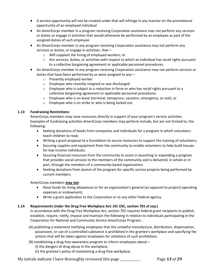- A service opportunity will not be created under that will infringe in any manner on the promotional opportunity of an employed individual
- An AmeriCorps member in a program receiving Corporation assistance may not perform any services or duties or engage in activities that would otherwise be performed by an employee as part of the assigned duties of such employee
- An AmeriCorps member in any program receiving Corporation assistance may not perform any services or duties, or engage in activities, that
	- o Will supplant the hiring of employed workers; or
	- $\circ$  Are services, duties, or activities with respect to which an individual has recall rights pursuant to a collective bargaining agreement or applicable personnel procedures.
- An AmeriCorps member in any program receiving Corporation assistance may not perform services or duties that have been performed by or were assigned to any
	- o Presently employed worker
	- o Employee who recently resigned or was discharged
	- $\circ$  Employee who is subject to a reduction in force or who has recall rights pursuant to a collective bargaining agreement or applicable personnel procedures
	- o Employee who is on leave (terminal, temporary, vacation, emergency, or sick); or
	- o Employee who is on strike or who is being locked out

# **1.13 Fundraising Restrictions:**

AmeriCorps members may raise resources directly in support of your program's service activities. Examples of fundraising activities AmeriCorps members may perform include, but are not limited to, the following:

- Seeking donations of books from companies and individuals for a program in which volunteers teach children to read;
- Writing a grant proposal to a foundation to secure resources to support the training of volunteers;
- Securing supplies and equipment from the community to enable volunteers to help build houses for low-income individuals;
- Securing financial resources from the community to assist in launching or expanding a program that provides social services to the members of the community and is delivered, in whole or in part, through the members of a community-based organization;
- Seeking donations from alumni of the program for specific service projects being performed by current members.

# AmeriCorps members **may not**:

- Raise funds for living allowances or for an organization's general (as opposed to project) operating expenses or endowment;
- Write a grant application to the Corporation or to any other Federal agency.

# **1.14 Requirements Under the Drug Free Workplace Act: (41 USC, section 701** *et seq.***)**

In accordance with the Drug Free Workplace Act, section 702 requires federal grant recipients to publish, establish, require, notify, impose and maintain the following in relation to individuals participating in the Corporation for National and Community Service AmeriCorps Program.:

- (A) publishing a statement notifying employees that the unlawful manufacture, distribution, dispensation, possession, or use of a controlled substance is prohibited in the grantee's workplace and specifying the actions that will be taken against employees for violations of such prohibition;
- (B) establishing a drug-free awareness program to inform employees about—
	- (i) the dangers of drug abuse in the workplace;
	- (ii) the grantee's policy of maintaining a drug-free workplace;

My initials indicate I have thoroughly reviewed this page \_\_\_\_\_\_\_\_\_\_\_\_\_ Page **13** of **29**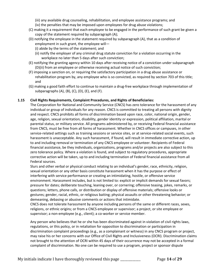(iii) any available drug counseling, rehabilitation, and employee assistance programs; and

- (iv) the penalties that may be imposed upon employees for drug abuse violations;
- (C) making it a requirement that each employee to be engaged in the performance of such grant be given a copy of the statement required by subparagraph (A);
- (D) notifying the employee in the statement required by subparagraph (A), that as a condition of employment in such grant, the employee will—
	- (i) abide by the terms of the statement; and
	- (ii) notify the employer of any criminal drug statute conviction for a violation occurring in the workplace no later than 5 days after such conviction;
- (E) notifying the granting agency within 10 days after receiving notice of a conviction under subparagraph (D)(ii) from an employee or otherwise receiving actual notice of such conviction;
- (F) imposing a sanction on, or requiring the satisfactory participation in a drug abuse assistance or rehabilitation program by, any employee who is so convicted, as required by section 703 of this title; and
- (G) making a good faith effort to continue to maintain a drug-free workplace through implementation of subparagraphs  $(A)$ ,  $(B)$ ,  $(C)$ ,  $(D)$ ,  $(E)$ , and  $(F)$ .

# **1.15 Civil Rights Requirements, Complaint Procedures, and Rights of Beneficiaries:**

The Corporation for National and Community Service (CNCS) has zero tolerance for the harassment of any individual or group of individuals for any reason. CNCS is committed to treating all persons with dignity and respect. CNCS prohibits all forms of discrimination based upon race, color, national origin, gender, age, religion, sexual orientation, disability, gender identity or expression, political affiliation, marital or parental status, or military service. All programs administered by, or receiving Federal financial assistance from CNCS, must be free from all forms of harassment. Whether in CNCS offices or campuses, in other service-related settings such as training sessions or service sites, or at service-related social events, such harassment is unacceptable. Any such harassment, if found, will result in immediate corrective action, up to and including removal or termination of any CNCS employee or volunteer. Recipients of Federal financial assistance, be they individuals, organizations, programs and/or projects are also subject to this zero tolerance policy. Where a violation is found, and subject to regulatory procedures, appropriate corrective action will be taken, up to and including termination of Federal financial assistance from all Federal sources.

Slurs and other verbal or physical conduct relating to an individual's gender, race, ethnicity, religion, sexual orientation or any other basis constitute harassment when it has the purpose or effect of interfering with service performance or creating an intimidating, hostile, or offensive service environment. Harassment includes, but is not limited to: explicit or implicit demands for sexual favors; pressure for dates; deliberate touching, leaning over, or cornering; offensive teasing, jokes, remarks, or questions; letters, phone calls, or distribution or display of offensive materials; offensive looks or gestures; gender, racial, ethnic, or religious baiting; physical assaults or other threatening behavior; or demeaning, debasing or abusive comments or actions that intimidate.

CNCS does not tolerate harassment by anyone including persons of the same or different races, sexes, religions, or ethnic origins; or from a CNCS employee or supervisor; a project, or site employee or supervisor; a non-employee (e.g., client); a co-worker or service member.

Any person who believes that he or she has been discriminated against in violation of civil rights laws, regulations, or this policy, or in retaliation for opposition to discrimination or participation in discrimination complaint proceedings (e.g., as a complainant or witness) in any CNCS program or project, may raise his or her concerns with our Office of Civil Rights and Inclusiveness (OCRI). Discrimination claims not brought to the attention of OCRI within 45 days of their occurrence may not be accepted in a formal complaint of discrimination. No one can be required to use a program, project or sponsor dispute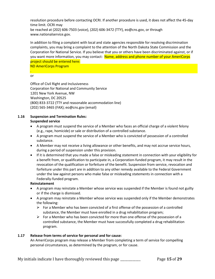resolution procedure before contacting OCRI. If another procedure is used, it does not affect the 45-day time limit. OCRI may be reached at (202) 606-7503 (voice), (202) 606-3472 (TTY), eo@cns.gov, or through www.nationalservice.gov.

In addition to filing a complaint with local and state agencies responsible for resolving discrimination complaints, you may bring a complaint to the attention of the North Dakota State Commission and the Corporation for National Service. If you believe that you or others have been discriminated against, or if you want more information, you may contact: Name, address and phone number of your AmeriCorps project should be entered here:

ND AmeriCorps Program

. or

Office of Civil Right and Inclusiveness Corporation for National and Community Service 1201 New York Avenue, NW Washington, DC 20525 (800) 833-3722 (TTY and reasonable accommodation line) (202) 565-3465 (FAX); eo@cns.gov (email)

# **1.16 Suspension and Termination Rules:**

# **Suspended service**

- A program must suspend the service of a Member who faces an official charge of a violent felony (e.g., rape, homicide) or sale or distribution of a controlled substance.
- A program must suspend the service of a Member who is convicted of possession of a controlled substance.
- A Member may not receive a living allowance or other benefits, and may not accrue service hours, during a period of suspension under this provision.
- If it is determined that you made a false or misleading statement in connection with your eligibility for a benefit from, or qualification to participate in, a Corporation-funded program, it may result in the revocation of the qualification or forfeiture of the benefit. Suspension from service, revocation and forfeiture under this part are in addition to any other remedy available to the Federal Government under the law against persons who make false or misleading statements in connection with a Federally-funded program.

# **Reinstatement**

- A program may reinstate a Member whose service was suspended if the Member is found not guilty or if the charge is dismissed.
- A program may reinstate a Member whose service was suspended only if the Member demonstrates the following:
	- For a Member who has been convicted of a first offense of the possession of a controlled substance, the Member must have enrolled in a drug rehabilitation program;
	- $\triangleright$  For a Member who has been convicted for more than one offense of the possession of a controlled substance, the Member must have successfully completed a drug rehabilitation program.

# **1.17 Release from terms of service for personal and for cause:**

An AmeriCorps program may release a Member from completing a term of service for compelling personal circumstances, as determined by the program, or for cause.

My initials indicate I have thoroughly reviewed this page \_\_\_\_\_\_\_\_\_\_\_\_\_ Page **15** of **29**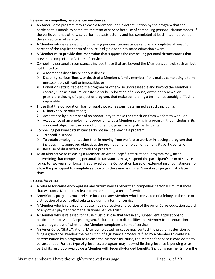# **Release for compelling personal circumstances:**

- An AmeriCorps program may release a Member upon a determination by the program that the participant is unable to complete the term of service because of compelling personal circumstances, if the participant has otherwise performed satisfactorily and has completed at least fifteen percent of the agreed term of service.
- A Member who is released for compelling personal circumstances and who completes at least 15 percent of the required term of service is eligible for a pro-rated education award.
- A Member must provide documentation that supports the compelling personal circumstances that prevent a completion of a term of service.
- Compelling personal circumstances include those that are beyond the Member's control, such as, but not limited to:
	- $\triangleright$  A Member's disability or serious illness;
	- $\triangleright$  Disability, serious illness, or death of a Member's family member if this makes completing a term unreasonably difficult or impossible; or
	- $\triangleright$  Conditions attributable to the program or otherwise unforeseeable and beyond the Member's control, such as a natural disaster, a strike, relocation of a spouse, or the nonrenewal or premature closing of a project or program, that make completing a term unreasonably difficult or impossible;
- Those that the Corporation, has for public policy reasons, determined as such, including:
	- $\triangleright$  Military service obligations;
	- $\triangleright$  Acceptance by a Member of an opportunity to make the transition from welfare to work; or
	- $\triangleright$  Acceptance of an employment opportunity by a Member serving in a program that includes in its approved objectives the promotion of employment among its participants.
- Compelling personal circumstances do not include leaving a program:
	- $\triangleright$  To enroll in school;
	- $\triangleright$  To obtain employment, other than in moving from welfare to work or in leaving a program that includes in its approved objectives the promotion of employment among its participants; or
	- $\triangleright$  Because of dissatisfaction with the program.
- As an alternative to releasing a Member, an AmeriCorps\*State/National program may, after determining that compelling personal circumstances exist, suspend the participant's term of service for up to two years (or longer if approved by the Corporation based on extenuating circumstances) to allow the participant to complete service with the same or similar AmeriCorps program at a later time.

# **Release for cause**

- A release for cause encompasses any circumstances other than compelling personal circumstances that warrant a Member's release from completing a term of service.
- AmeriCorps programs must release for cause any Member who is convicted of a felony or the sale or distribution of a controlled substance during a term of service.
- A Member who is released for cause may not receive any portion of the AmeriCorps education award or any other payment from the National Service Trust.
- A Member who is released for cause must disclose that fact in any subsequent applications to participate in an AmeriCorps program. Failure to do so disqualifies the Member for an education award, regardless of whether the Member completes a term of service.
- An AmeriCorps\*State/National Member released for cause may contest the program's decision by filing a grievance. Pending the resolution of a grievance procedure filed by a Member to contest a determination by a program to release the Member for cause, the Member's service is considered to be suspended. For this type of grievance, a program may not—while the grievance is pending or as part of its resolution—provide a Member with federally-funded benefits (including payments from the

My initials indicate I have thoroughly reviewed this page \_\_\_\_\_\_\_\_\_\_\_\_\_ Page **16** of **29**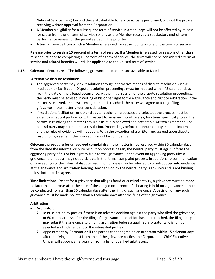National Service Trust) beyond those attributable to service actually performed, without the program receiving written approval from the Corporation.

- A Member's eligibility for a subsequent term of service in AmeriCorps will not be affected by release for cause from a prior term of service so long as the Member received a satisfactory end-of-term performance review for the period served in the prior term.
- A term of service from which a Member is released for cause counts as one of the terms of service

**Release prior to serving 15 percent of a term of service:** If a Member is released for reasons other than misconduct prior to completing 15 percent of a term of service, the term will not be considered a term of service and related benefits will still be applicable to the unused term of service.

# **1.18 Grievance Procedures:** The following grievance procedures are available to Members

# **Alternative dispute resolution:**

- The aggrieved party may seek resolution through alternative means of dispute resolution such as mediation or facilitation. Dispute resolution proceedings must be initiated within 45 calendar days from the date of the alleged occurrence. At the initial session of the dispute resolution proceedings, the party must be advised in writing of his or her right to file a grievance and right to arbitration. If the matter is resolved, and a written agreement is reached, the party will agree to forego filing a grievance in the matter under consideration.
- If mediation, facilitation, or other dispute resolution processes are selected, the process must be aided by a neutral party who, with respect to an issue in controversy, functions specifically to aid the parties in resolving the matter through a mutually achieved and acceptable written agreement. The neutral party may not compel a resolution. Proceedings before the neutral party must be informal, and the rules of evidence will not apply. With the exception of a written and agreed upon dispute resolution agreement, the proceeding must be confidential.

**Grievance procedure for unresolved complaints:** If the matter is not resolved within 30 calendar days from the date the informal dispute resolution process began, the neutral party must again inform the aggrieving party of his or her right to file a formal grievance. In the event an aggrieving party files a grievance, the neutral may not participate in the formal complaint process. In addition, no communication or proceedings of the informal dispute resolution process may be referred to or introduced into evidence at the grievance and arbitration hearing. Any decision by the neutral party is advisory and is not binding unless both parties agree.

**Time limitations:** Except for a grievance that alleges fraud or criminal activity, a grievance must be made no later than one year after the date of the alleged occurrence. If a hearing is held on a grievance, it must be conducted no later than 30 calendar days after the filing of such grievance. A decision on any such grievance must be made no later than 60 calendar days after the filing of the grievance.

# **Arbitration**

- **Arbitrator:** 
	- $\triangleright$  Joint selection by parties if there is an adverse decision against the party who filed the grievance, or 60 calendar days after the filing of a grievance no decision has been reached, the filing party may submit the grievance to binding arbitration before a qualified arbitrator who is jointly selected and independent of the interested parties.
	- $\triangleright$  Appointment by Corporation if the parties cannot agree on an arbitrator within 15 calendar days after receiving a request from one of the grievance parties, the Corporations Chief Executive Officer will appoint an arbitrator from a list of qualified arbitrators.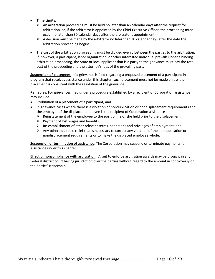- **Time Limits:** 
	- $\triangleright$  An arbitration proceeding must be held no later than 45 calendar days after the request for arbitration, or, if the arbitrator is appointed by the Chief Executive Officer, the proceeding must occur no later than 30 calendar days after the arbitrator's appointment.
	- $\triangleright$  A decision must be made by the arbitrator no later than 30 calendar days after the date the arbitration proceeding begins.
- The cost of the arbitration proceeding must be divided evenly between the parties to the arbitration. If, however, a participant, labor organization, or other interested individual prevails under a binding arbitration proceeding, the State or local applicant that is a party to the grievance must pay the total cost of the proceeding and the attorney's fees of the prevailing party.

**Suspension of placement:** If a grievance is filed regarding a proposed placement of a participant in a program that receives assistance under this chapter, such placement must not be made unless the placement is consistent with the resolution of the grievance.

**Remedies:** For grievances filed under a procedure established by a recipient of Corporation assistance may include—

- Prohibition of a placement of a participant; and
- In grievance cases where there is a violation of nonduplication or nondisplacement requirements and the employer of the displaced employee is the recipient of Corporation assistance—
	- $\triangleright$  Reinstatement of the employee to the position he or she held prior to the displacement;
	- $\triangleright$  Payment of lost wages and benefits;
	- $\triangleright$  Re-establishment of other relevant terms, conditions and privileges of employment; and
	- $\triangleright$  Any other equitable relief that is necessary to correct any violation of the nonduplication or nondisplacement requirements or to make the displaced employee whole.

**Suspension or termination of assistance:** The Corporation may suspend or terminate payments for assistance under this chapter.

**Effect of noncompliance with arbitration:** A suit to enforce arbitration awards may be brought in any Federal district court having jurisdiction over the parties without regard to the amount in controversy or the parties' citizenship.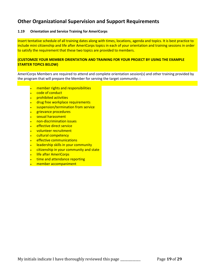# **Other Organizational Supervision and Support Requirements**

# **1.19 Orientation and Service Training for AmeriCorps**

Insert tentative schedule of all training dates along with times, locations, agenda and topics. It is best practice to include mini citizenship and life after AmeriCorps topics in each of your orientation and training sessions in order to satisfy the requirement that these two topics are provided to members.

# **(CUSTOMIZE YOUR MEMBER ORIENTATION AND TRAINING FOR YOUR PROJECT BY USING THE EXAMPLE STARTER TOPICS BELOW)**

AmeriCorps Members are required to attend and complete orientation session(s) and other training provided by the program that will prepare the Member for serving the target community. :

- member rights and responsibilities
- code of conduct
- prohibited activities
- drug free workplace requirements
- suspension/termination from service
- grievance procedures
- sexual harassment
- non-discrimination issues
- effective direct service
- volunteer recruitment
- cultural competency
- effective communications
- leadership skills in your community
- citizenship in your community and state
- **life after AmeriCorps**
- time and attendance reporting
- member accompaniment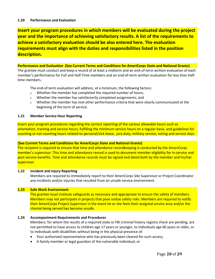#### **1.20 Performance and Evaluation**

**Insert your program procedures in which members will be evaluated during the project year and the importance of achieving satisfactory results. A list of the requirements to achieve a satisfactory evaluation should be also entered here. The evaluation requirements must align with the duties and responsibilities listed in the position description.**

#### **Performance and Evaluation (See Current Terms and Conditions for AmeriCorps State and National Grants)**

The grantee must conduct and keep a record of at least a midterm and an end-of-term written evaluation of each member's performance for Full and Half-Time members and an end-of-term written evaluation for less than Halftime members.

The end-of-term evaluation will address, at a minimum, the following factors:

- Whether the member has completed the required number of hours;
- Whether the member has satisfactorily completed assignments; and
- Whether the member has met other performance criteria that were clearly communicated at the beginning of the term of service.

#### **1.21 Member Service Hour Reporting**

Insert your program procedures regarding the correct reporting of the various allowable hours such as orientation, training and service hours, fulfilling the minimum service hours on a regular basis, and guidelines for counting or not counting hours related to personal/sick leave, jury duty, military service, voting and service days

# **(See Current Terms and Conditions for AmeriCorps State and National Grants)**

The recipient is required to ensure that time and attendance recordkeeping is conducted by the AmeriCorps member's supervisor. This time and attendance record is used to document member eligibility for in-service and post-service benefits. Time and attendance records must be signed and dated both by the member and his/her supervisor.

#### **1.22 Incident and Injury Reporting**

Members are required to immediately report to their AmeriCorps Site Supervisor or Project Coordinator any incidents and/or injuries that resulted from an unsafe service environment.

# **1.23 Safe Work Environment**

The grantee must institute safeguards as necessary and appropriate to ensure the safety of members. Members may not participate in projects that pose undue safety risks. Members are required to notify their AmeriCorps Project Supervisor in the event he or she feels their assigned service area and/or the cliental being served has become unsafe.

# **1.24 Accompaniment Requirements and Procedures**

Members, for whom the results of a required state or FBI criminal history registry check are pending, are not permitted to have access to children age 17 years or younger, to individuals age 60 years or older, or to individuals with disabilities without being in the physical presence of:

- Your authorized representative who has previously been cleared for such access;
- A family member or legal guardian of the vulnerable individual; or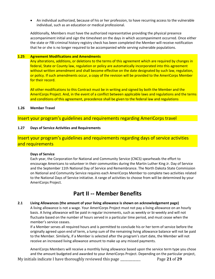• An individual authorized, because of his or her profession, to have recurring access to the vulnerable individual, such as an education or medical professional.

Additionally, Members must have the authorized representative providing the physical presence accompaniment initial and sign the timesheet on the days in which accompaniment occurred. Once either the state or FBI criminal history registry check has been completed the Member will receive notification that he or she is no longer required to be accompanied while serving vulnerable populations.

#### **1.25 Agreement Modifications and Amendments**

Any alterations, additions, or deletions to the terms of this agreement which are required by changes in federal, State or County law, regulation or policy are automatically incorporated into this agreement without written amendment and shall become effective on the date designated by such law, regulation, or policy. If such amendments occur, a copy of the revision will be provided to the AmeriCorps Member for their record.

All other modifications to this Contract must be in writing and signed by both the Member and the AmeriCorps Project. And, in the event of a conflict between applicable laws and regulations and the terms and conditions of this agreement, precedence shall be given to the federal law and regulations

# **1.26 Member Travel**

# Insert your program's guidelines and requirements regarding AmeriCorps travel

# **1.27 Days of Service Activities and Requirements**

# Insert your program's guidelines and requirements regarding days of service activities and requirements

# **Days of Service**

Each year, the Corporation for National and Community Service (CNCS) spearheads the effort to encourage Americans to volunteer in their communities during the [Martin](http://www.nationalservice.gov/special-initiatives/days-service/martin-luther-king-jr-day-service) Luther King Jr. Day of Service and the September 11th National Day of Service and [Remembrance.](http://www.nationalservice.gov/special-initiatives/days-service/september-11th-national-day-service-and-remembrance) The North Dakota State Commission on National and Community Service requires each AmeriCorps Member to complete two activities related to the National Days of Service initiative. A range of activities to choose from will be determined by your AmeriCorps Project.

# **Part II -- Member Benefits**

#### **2.1 Living Allowances (the amount of your living allowance is shown on acknowledgement page)**

A living allowance is not a wage. Your AmeriCorps Project must not pay a living allowance on an hourly basis. A living allowance will be paid in regular increments, such as weekly or bi-weekly and will not fluctuate based on the number of hours served in a particular time period, and must cease when the member's service ceases.

If a Member serves all required hours and is permitted to conclude his or her term of service before the originally agreed upon end of term, a lump sum of the remaining living allowance balance will not be paid to the Member. Similarly, if a Member is selected after the program's start date, the Member will not receive an increased living allowance amount to make up any missed payments.

My initials indicate I have thoroughly reviewed this page \_\_\_\_\_\_\_\_\_\_\_\_\_ Page **21** of **29** AmeriCorps Members will receive a monthly living allowance based upon the service term type you chose and the amount budgeted and awarded to your AmeriCorps Project. Depending on the particular project,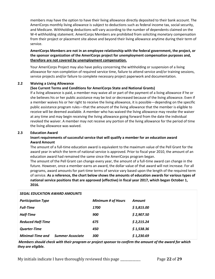members may have the option to have their living allowance directly deposited to their bank account. The AmeriCorps monthly living allowance is subject to deductions such as federal income tax, social security, and Medicare. Withholding deductions will vary according to the number of dependents claimed on the W-4 withholding statement. AmeriCorps Members are prohibited from soliciting monetary compensation from their project or placement site above and beyond their living allowance anytime during their term of service.

# **AmeriCorps Members are not in an employee relationship with the federal government, the project, or the sponsor organization of the AmeriCorps project for unemployment compensation purposes and, therefore are not covered by unemployment compensation.**

Your AmeriCorps Project may also have policy concerning the withholding or suspension of a living allowance for non-completion of required service time, failure to attend service and/or training sessions, service projects and/or failure to complete necessary project paperwork and documentation.

# **2.2 Waiving a Living Allowance**

# **(See Current Terms and Conditions for AmeriCorps State and National Grants)**

If a living allowance is paid, a member may waive all or part of the payment of a living allowance if he or she believes his or her public assistance may be lost or decreased because of the living allowance. Even if a member waives his or her right to receive the living allowance, it is possible—depending on the specific public assistance program rules—that the amount of the living allowance that the member is eligible to receive will be deemed available. A member who has waived the living allowance may revoke the waiver at any time and may begin receiving the living allowance going forward from the date the individual revoked the waiver. A member may not receive any portion of the living allowance for the period of time the living allowance was waived.

# **2.3 Education Award**

# **Insert requirements of successful service that will qualify a member for an education award Award Amount**

The amount of a full-time education award is equivalent to the maximum value of the Pell Grant for the award year in which the term of national service is approved. Prior to fiscal year 2010, the amount of an education award had remained the same since the AmeriCorps program began.

The amount of the Pell Grant can change every year, the amount of a full-time award can change in the future. However, once a member earns an award, the dollar value of that award will not increase. For all programs, award amounts for part-time terms of service vary based upon the length of the required term of service. **As a reference, the chart below shows the amounts of education awards for various types of national service positions that are approved (effective) in fiscal year 2017, which began October 1, 2016.** 

| <b>SEGAL EDUCATION AWARD AMOUNTS</b> |                         |                           |            |
|--------------------------------------|-------------------------|---------------------------|------------|
| <b>Participation Type</b>            |                         | <b>Minimum # of Hours</b> | Amount     |
| <b>Full-Time</b>                     |                         | <i><b>1700</b></i>        | \$5,815.00 |
| <b>Half-Time</b>                     |                         | 900                       | \$2,907.50 |
| <b>Reduced Half-Time</b>             |                         | 675                       | \$2,215.24 |
| <b>Quarter-Time</b>                  |                         | 450                       | \$1,538.36 |
| <b>Minimal-Time and</b>              | <b>Summer Associate</b> | 300                       | \$1,230.69 |

*Members should check with their program or project sponsor to confirm the amount of the award for which they are eligible.*

My initials indicate I have thoroughly reviewed this page \_\_\_\_\_\_\_\_\_\_\_\_\_ Page **22** of **29**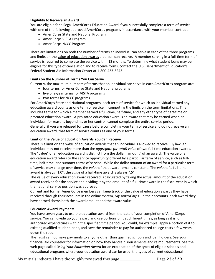#### **Eligibility to Receive an Award**

You are eligible for a Segal AmeriCorps Education Award if you successfully complete a term of service with one of the following approved AmeriCorps programs in accordance with your member contract:

- AmeriCorps State and National Program
- AmeriCorps VISTA Program
- AmeriCorps NCCC Program

There are limitations on both the number of terms an individual can serve in each of the three programs and limits on the value of education awards a person can receive. A member serving in a full-time term of service is required to complete the service within 12 months. To determine what student loans may be eligible for this type of cancelation and to receive forms, contact the U.S. Department of Education's Federal Student Aid Information Center at 1-800-433-3243.

#### **Limits on the Number of Terms You Can Serve**

Currently, the maximum numbers of terms that an individual can serve in each AmeriCorps program are:

- four terms for AmeriCorps State and National programs
- five one-year terms for VISTA programs
- two terms for NCCC programs

For AmeriCorps State and National programs, each term of service for which an individual earned any education award counts as one term of service in computing the limits on the term limitations. This includes terms for which a member earned a full-time, half-time, and any other type of part-time or prorated education award. A pro-rated education award is an award that may be earned when an individual, for reasons beyond his or her control, cannot complete the entire service period. Generally, if you are released for cause before completing your term of service and do not receive an education award, that term of service counts as one of your terms.

#### **Limit on the Value of Education Awards You Can Receive**

There is a limit on the *value* of education awards that an individual is allowed to receive. By law, an individual may not receive more than the *aggregate (or total) value* of two full time education awards. The "value" of an education award is distinct from the dollar "amount" of an award. The value of an education award refers to the service opportunity offered by a particular term of service, such as fulltime, half-time, and summer terms of service. While the dollar *amount* of an award for a particular term of service may change over time, the *value* of that award remains constant. The *value* of a full-time award is always "1.0"; the *value* of a half-time award is always ".5".

The value of every education award received is calculated by taking the actual amount of the education award received for the service and dividing it by the amount of a full-time award in the fiscal year in which the national service position was approved.

Current and former AmeriCorps members can keep track of the value of education awards they have received through their accounts in the online system, *My AmeriCorps.* In their accounts, each award they have earned shows both the award amount and the award value.

# **Education Award Payments**

You have seven years to use the education award from the date of your completion of AmeriCorps service. You can divide up your award and use portions of it at different times, as long as it is for authorized expenditures within the specified time period. You could, for example, apply a portion of it to existing qualified student loans, and save the remainder to pay for authorized college costs a few years down the road.

The Trust cannot make payments to anyone other than qualified schools and loan holders. See your financial aid counselor for information on how they handle disbursements and reimbursements. See the web page called *Using Your Education Award* for an explanation of the types of eligible schools and educational programs where your education award can be used, the types of current educational

My initials indicate I have thoroughly reviewed this page \_\_\_\_\_\_\_\_\_\_\_\_\_ Page **23** of **29**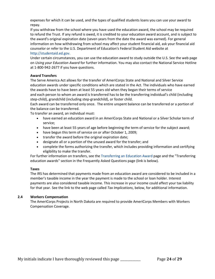expenses for which it can be used, and the types of qualified students loans you can use your award to repay.

If you withdraw from the school where you have used the education award, the school may be required to refund the Trust. If any refund is owed, it is credited to your education award account, and is subject to the award's original expiration date (seven years from the date the award was earned). For general information on how withdrawing from school may affect your student financial aid, ask your financial aid counselor or refer to the U.S. Department of Education's Federal Student Aid website at [http://studentaid.ed.gov.](http://studentaid.ed.gov/) 

Under certain circumstances, you can use the education award to study outside the U.S. See the web page on *Using your Education Award* for further information. You may also contact the National Service Hotline at 1-800-942-2677 if you have questions.

# **Award Transfers**

The Serve America Act allows for the transfer of AmeriCorps State and National and Silver Service education awards under specific conditions which are stated in the Act. The individuals who have earned the awards have to have been at least 55 years old when they began their terms of service and each person to whom an award is transferred has to be the transferring individual's child (including step-child), grandchild (including step-grandchild), or foster child.

Each award can be transferred only once. The entire unspent balance can be transferred or a portion of the balance can be transferred.

To transfer an award, an individual must:

- have earned an education award in an AmeriCorps State and National or a Silver Scholar term of service;
- have been at least 55 years of age before beginning the term of service for the subject award;
- have begun this term of service on or after October 1, 2009;
- transfer the award before the original expiration date;
- designate all or a portion of the unused award for the transfer; and
- complete the forms authorizing the transfer, which includes providing information and certifying eligibility to make the transfer.

For further information on transfers, see th[e Transferring an Education Award p](http://www.nationalservice.gov/node/29894)age and the "Transferring education awards" section in the Frequently Asked Questions page (link is below).

# **Taxes**

The IRS has determined that payments made from an education award are considered to be included in a member's taxable income in the year the payment is made to the school or loan holder. Interest payments are also considered taxable income. This increase in your income could affect your tax liability for that year. See the link to the web page called *Tax Implications*, below, for additional information.

# **2.4 Workers Compensation**

The AmeriCorps Projects in North Dakota are required to provide AmeriCorps Members with Workers Compensation Coverage.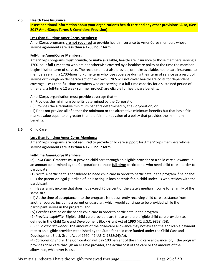# **2.5 Health Care Insurance**

**Insert additional information about your organization's health care and any other provisions. Also, (See 2017 AmeriCorps Terms & Conditions Provision)**

# **Less than full-time AmeriCorps Members:**

AmeriCorps programs **are not required** to provide health insurance to AmeriCorps members whose service agreements are **less than a 1700 hour term**.

# **Full-time AmeriCorps Members:**

AmeriCorps programs **must provide, or make available**, healthcare insurance to those members serving a 1700-hour **full-time** term who are not otherwise covered by a healthcare policy at the time the member begins his/her term of service. The recipient must also provide, or make available, healthcare insurance to members serving a 1700-hour full-time term who lose coverage during their term of service as a result of service or through no deliberate act of their own. CNCS will not cover healthcare costs for dependent coverage. Less-than-full-time members who are serving in a full-time capacity for a sustained period of time (e.g. a full-time 12 week summer project) are eligible for healthcare benefits.

AmeriCorps organization must provide coverage that—

(i) Provides the minimum benefits determined by the Corporation;

(ii) Provides the alternative minimum benefits determined by the Corporation; or

(iii) Does not provide all of either the minimum or the alternative minimum benefits but that has a fair market value equal to or greater than the fair market value of a policy that provides the minimum benefits.

# **2.6 Child Care**

# **Less than full-time AmeriCorps Members:**

AmeriCorps programs **are not required** to provide child care support for AmeriCorps members whose service agreements are **less than a 1700 hour term**.

# **Full-time AmeriCorps Members:**

(a) *Child Care.* Grantees **must provide** child care through an eligible provider or a child care allowance in an amount determined by the Corporation to those **full-time** participants who need child care in order to participate.

(1) *Need.* A participant is considered to need child care in order to participate in the program if he or she: (i) Is the parent or legal guardian of, or is acting in loco parentis for, a child under 13 who resides with the participant;

(ii) Has a family income that does not exceed 75 percent of the State's median income for a family of the same size;

(iii) At the time of acceptance into the program, is not currently receiving child care assistance from another source, including a parent or guardian, which would continue to be provided while the participant serves in the program; and

(iv) Certifies that he or she needs child care in order to participate in the program.

(2) *Provider eligibility.* Eligible child care providers are those who are eligible child care providers as defined in the Child Care and Development Block Grant Act of 1990 (42 U.S.C. 9858n(5)).

(3) *Child care allowance.* The amount of the child-care allowance may not exceed the applicable payment rate to an eligible provider established by the State for child care funded under the Child Care and Development Block Grant Act of 1990 (42 U.S.C. 9858c(4)(A)).

(4) *Corporation share.* The Corporation will pay 100 percent of the child care allowance, or, if the program provides child care through an eligible provider, the actual cost of the care or the amount of the allowance, whichever is less.

My initials indicate I have thoroughly reviewed this page \_\_\_\_\_\_\_\_\_\_\_\_\_ Page **25** of **29**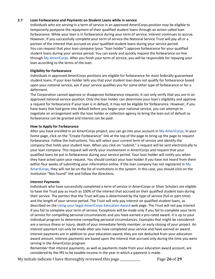# **2.7 Loan Forbearance and Payments on Student Loans while in service**

Individuals who are serving in a term of service in an approved AmeriCorps position may be eligible to temporarily postpone the repayment of their qualified student loans through an action called loan forbearance. While your loan is in forbearance during your term of service, interest continues to accrue. However, If you successfully complete your term of service the National Service Trust will pay all or a portion of the interest that accrued on your qualified student loans during your service period. You can request that your loan company (your "loan holder") approve forbearance for your qualified student loans during your service period. You can easily and quickly request the forbearance on-line throug[h My AmeriCorps.](https://my.americorps.gov/mp/login.do) After you finish your term of service, you will be responsible for repaying your loan according to the terms of the loan.

# **Eligibility for Forbearance**

Individuals in approved AmeriCorps positions are eligible for forbearance for most federally-guaranteed student loans. If your loan holder tells you that your student loan does not qualify for forbearance based upon your national service, ask if your service qualifies you for some other type of forbearance or for a deferment.

The Corporation cannot approve or disapprove forbearance requests; it can only verify that you are in an approved national service position. Only the loan holder can determine your loan's eligibility and approve a request for forbearance if your loan is in default, it may not be eligible for forbearance. However, if you have loans that had gone into default before you began your national service, you can attempt to negotiate an arrangement with the loan holder or collection agency to bring the loan out of default so forbearance can be granted and interest can be paid.

# **How to Apply for Forbearance**

After you have enrolled in an AmeriCorps project, you can go into your account i[n My AmeriCorps.](https://my.americorps.gov/mp/login.do) In your home page, click on the "Create Forbearance" link at the top of the page to bring up the page to request forbearance. Follow the instructions. You will select your current term of service and identify the company that holds your student loan. When you click on "submit," a request will be sent electronically to your loan company. This request will verify your involvement in AmeriCorps and request that your qualified loans be put in forbearance during your service period. Your loan holder will notify you when they have acted upon your request. You should contact your loan holder if you have not heard from them within four weeks of submitting your information online. If the loan company has not registered in My [AmeriCorps,](https://my.americorps.gov/mp/login.do) they will not be on the list of institutions in the system. In this case, you should click on the institution "Not Found" link and follow the directions.

# **Interest Payments**

Individuals who have successfully completed a term of service in AmeriCorps or Silver Scholars are eligible to have the Trust pay as much as 100% of the interest that accrued on their qualified student loan during their service. The portion that the Trust will pay is determined by the type of service (full or part-time) and the length of your service period. The Trust will only pay interest on qualified student loans, as described on the [Using your Segal AmeriCorps Education Award](http://www.nationalservice.gov/programs/americorps/segal-americorps-education-award/using-your-segal-education-award) web page. The Trust will not pay interest if you fail to complete your term of service. Exceptions will be made only if you fail to complete your term of service for compelling personal circumstances and you have earned a pro-rated award. It is up to your individual program to determine compelling personal circumstances. Examples that might be considered are a serious illness or injury, death of your immediate family member, or early closing of your project. An interest payment can only be made after you have completed your service and have earned an award. Interest payments are in addition to your education award; they are not deducted from your education award amount. Interest payments are based upon the interest that accrued only during the time you were serving in the AmeriCorps program.

Remember that interest payments, as well as payments made from your education award account, are considered by the IRS to be taxable income in the year in which a payment is made.

My initials indicate I have thoroughly reviewed this page \_\_\_\_\_\_\_\_\_\_\_\_\_ Page **26** of **29**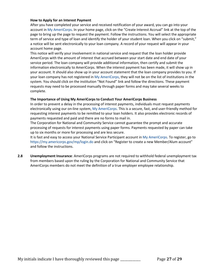#### **How to Apply for an Interest Payment**

After you have completed your service and received notification of your award, you can go into your account in [My AmeriCorps.](https://my.americorps.gov/mp/login.do) In your home page, click on the "Create Interest Accrual" link at the top of the page to bring up the page to request the payment. Follow the instructions. You will select the appropriate term of service and type of loan and identify the holder of your student loan. When you click on "submit," a notice will be sent electronically to your loan company. A record of your request will appear in your account home page.

This notice will verify your involvement in national service and request that the loan holder provide AmeriCorps with the amount of interest that accrued between your start date and end date of your service period. The loan company will provide additional information, then certify and submit the information electronically to AmeriCorps. When the interest payment has been made, it will show up in your account. It should also show up in your account statement that the loan company provides to you. If your loan company has not registered in [My AmeriCorps,](https://my.americorps.gov/mp/login.do) they will not be on the list of institutions in the system. You should click on the institution "Not Found" link and follow the directions. These payment requests may need to be processed manually through paper forms and may take several weeks to complete.

#### **The Importance of Using My AmeriCorps to Conduct Your AmeriCorps Business**

In order to prevent a delay in the processing of interest payments, individuals must request payments electronically using our on-line system, [My AmeriCorps.](https://my.americorps.gov/mp/login.do) This is a secure, fast, and user-friendly method for requesting interest payments to be remitted to your loan holders. It also provides electronic records of payments requested and paid and there are no forms to mail in.

The Corporation for National and Community Service cannot guarantee the prompt and accurate processing of requests for interest payments using paper forms. Payments requested by paper can take up to six months or more for processing and are less secure.

It is fast and easy to access your National Service Participant account i[n My AmeriCorps.](https://my.americorps.gov/mp/login.do) To register, go to <https://my.americorps.gov/mp/login.do> and click on "Register to create a new Member/Alum account" and follow the instructions.

**2.8 Unemployment Insurance**: AmeriCorps programs are not required to withhold federal unemployment tax from members based upon the ruling by the Corporation for National and Community Service that AmeriCorps members do not meet the definition of a true employer employee relationship.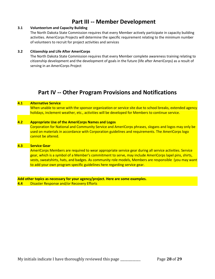# **Part III -- Member Development**

# **3.1 Volunteerism and Capacity Building**

The North Dakota State Commission requires that every Member actively participate in capacity building activities. AmeriCorps Projects will determine the specific requirement relating to the minimum number of volunteers to recruit for project activities and services

# **3.2 Citizenship and Life After AmeriCorps**

The North Dakota State Commission requires that every Member complete awareness training relating to citizenship development and the development of goals in the future (life after AmeriCorps) as a result of serving in an AmeriCorps Project

# **Part IV -- Other Program Provisions and Notifications**

#### **4.1 Alternative Service**

When unable to serve with the sponsor organization or service site due to school breaks, extended agency holidays, inclement weather, etc., activities will be developed for Members to continue service.

#### **4.2 Appropriate Use of the AmeriCorps Names and Logos**

Corporation for National and Community Service and AmeriCorps phrases, slogans and logos may only be used on materials in accordance with Corporation guidelines and requirements. The AmeriCorps logo cannot be altered.

# **4.3 Service Gear**

AmeriCorps Members are required to wear appropriate service gear during all service activities. Service gear, which is a symbol of a Member's commitment to serve, may include AmeriCorps lapel pins, shirts, vests, sweatshirts, hats, and badges. As community role models, Members are responsible (you may want to add your own program specific guidelines here regarding service gear.

**Add other topics as necessary for your agency/project. Here are some examples.** 

**4.4** Disaster Response and/or Recovery Efforts